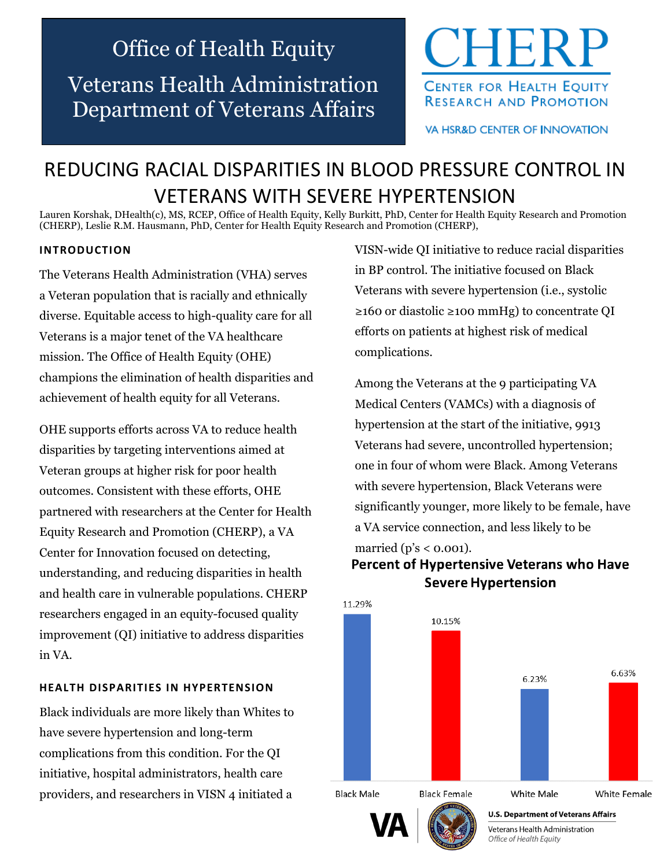# Office of Health Equity

Veterans Health Administration Department of Veterans Affairs



**VA HSR&D CENTER OF INNOVATION** 

## REDUCING RACIAL DISPARITIES IN BLOOD PRESSURE CONTROL IN VETERANS WITH SEVERE HYPERTENSION

Lauren Korshak, DHealth(c), MS, RCEP, Office of Health Equity, Kelly Burkitt, PhD, Center for Health Equity Research and Promotion (CHERP), Leslie R.M. Hausmann, PhD, Center for Health Equity Research and Promotion (CHERP),

#### **INTRODUCTION**

The Veterans Health Administration (VHA) serves a Veteran population that is racially and ethnically diverse. Equitable access to high-quality care for all Veterans is a major tenet of the VA healthcare mission. The Office of Health Equity (OHE) champions the elimination of health disparities and achievement of health equity for all Veterans.

OHE supports efforts across VA to reduce health disparities by targeting interventions aimed at Veteran groups at higher risk for poor health outcomes. Consistent with these efforts, OHE partnered with researchers at the Center for Health Equity Research and Promotion (CHERP), a VA Center for Innovation focused on detecting, understanding, and reducing disparities in health and health care in vulnerable populations. CHERP researchers engaged in an equity-focused quality improvement (QI) initiative to address disparities in VA.

#### **HEALTH DISPARITIES IN HYPERTENSION**

Black individuals are more likely than Whites to have severe hypertension and long-term complications from this condition. For the QI initiative, hospital administrators, health care providers, and researchers in VISN 4 initiated a

VISN-wide QI initiative to reduce racial disparities in BP control. The initiative focused on Black Veterans with severe hypertension (i.e., systolic ≥160 or diastolic ≥100 mmHg) to concentrate QI efforts on patients at highest risk of medical complications.

Among the Veterans at the 9 participating VA Medical Centers (VAMCs) with a diagnosis of hypertension at the start of the initiative, 9913 Veterans had severe, uncontrolled hypertension; one in four of whom were Black. Among Veterans with severe hypertension, Black Veterans were significantly younger, more likely to be female, have a VA service connection, and less likely to be married ( $p's < 0.001$ ).

### **Percent of Hypertensive Veterans who Have** Severe Hypertension